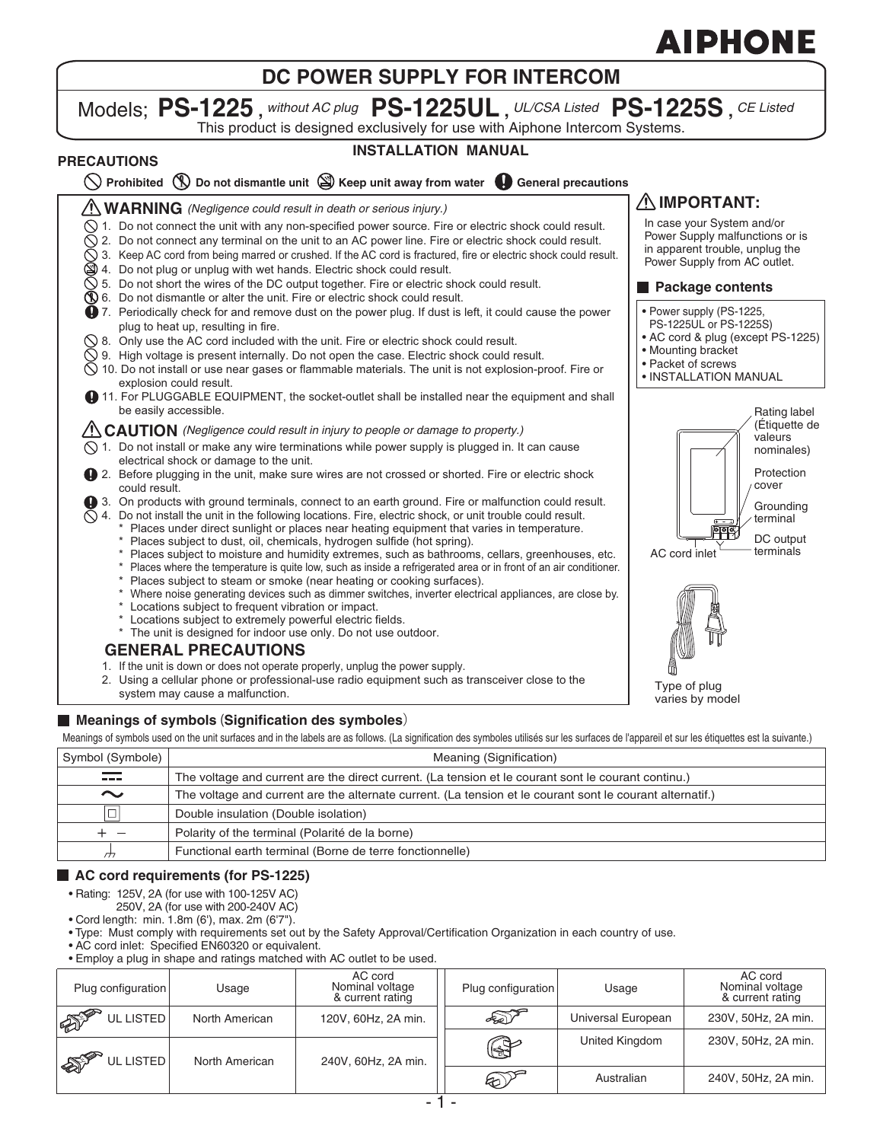# **DC POWER SUPPLY FOR INTERCOM**

## Models; **PS-1225 ,** *without AC plug* **PS-1225UL ,** *UL/CSA Listed* **PS-1225S ,** *CE Listed* This product is designed exclusively for use with Aiphone Intercom Systems.

# **PRECAUTIONS**

# **INSTALLATION MANUAL**

|  | $\bigcirc$ Prohibited $\bigcirc$ Do not dismantle unit $\bigcirc$ Keep unit away from water $\bigcirc$ General precautions |  |
|--|----------------------------------------------------------------------------------------------------------------------------|--|
|  |                                                                                                                            |  |

**WARNING** *(Negligence could result in death or serious injury.)*

- $\heartsuit$  1. Do not connect the unit with any non-specified power source. Fire or electric shock could result.
- $\Diamond$  2. Do not connect any terminal on the unit to an AC power line. Fire or electric shock could result.  $\bigcirc$  3. Keep AC cord from being marred or crushed. If the AC cord is fractured, fire or electric shock could result.
- 4. Do not plug or unplug with wet hands. Electric shock could result.
- $\bigcirc$  5. Do not short the wires of the DC output together. Fire or electric shock could result.
- $\mathbb Q$  6. Do not dismantle or alter the unit. Fire or electric shock could result.
- 7. Periodically check for and remove dust on the power plug. If dust is left, it could cause the power plug to heat up, resulting in fire.
- $\Diamond$  8. Only use the AC cord included with the unit. Fire or electric shock could result.
- $\bar{\heartsuit}$  9. High voltage is present internally. Do not open the case. Electric shock could result.
- $\Diamond$  10. Do not install or use near gases or flammable materials. The unit is not explosion-proof. Fire or explosion could result.
- 11. For PLUGGABLE EQUIPMENT, the socket-outlet shall be installed near the equipment and shall be easily accessible.

#### **CAUTION** *(Negligence could result in injury to people or damage to property.)*

- $\Diamond$  1. Do not install or make any wire terminations while power supply is plugged in. It can cause electrical shock or damage to the unit.
- 2. Before plugging in the unit, make sure wires are not crossed or shorted. Fire or electric shock could result.
- 3. On products with ground terminals, connect to an earth ground. Fire or malfunction could result.
- $\Diamond$  4. Do not install the unit in the following locations. Fire, electric shock, or unit trouble could result.
	- Places under direct sunlight or places near heating equipment that varies in temperature. \* Places subject to dust, oil, chemicals, hydrogen sulfide (hot spring).
	- Places subject to moisture and humidity extremes, such as bathrooms, cellars, greenhouses, etc.
	- Places where the temperature is quite low, such as inside a refrigerated area or in front of an air conditioner.
	- \* Places subject to steam or smoke (near heating or cooking surfaces).
	- Where noise generating devices such as dimmer switches, inverter electrical appliances, are close by.
	- Locations subject to frequent vibration or impact.
	- \* Locations subject to extremely powerful electric fields.
	- \* The unit is designed for indoor use only. Do not use outdoor.

### **GENERAL PRECAUTIONS**

- 1. If the unit is down or does not operate properly, unplug the power supply.
- 2. Using a cellular phone or professional-use radio equipment such as transceiver close to the system may cause a malfunction.

### **Meanings of symbols** (**Signification des symboles**)

Meanings of symbols used on the unit surfaces and in the labels are as follows. (La signification des symboles utilisés sur les surfaces de l'appareil et sur les étiquettes est la suivante.)

| Symbol (Symbole)                                                                                                                                                                                                               | Meaning (Signification)                                                                                   |
|--------------------------------------------------------------------------------------------------------------------------------------------------------------------------------------------------------------------------------|-----------------------------------------------------------------------------------------------------------|
| and the second state of the second state in the second state in the second state in the second state in the second state in the second state in the second state in the second state in the second state in the second state i | The voltage and current are the direct current. (La tension et le courant sont le courant continu.)       |
| $\sim$                                                                                                                                                                                                                         | The voltage and current are the alternate current. (La tension et le courant sont le courant alternatif.) |
| $\Box$                                                                                                                                                                                                                         | Double insulation (Double isolation)                                                                      |
| $+\hspace{0.1cm}-$                                                                                                                                                                                                             | Polarity of the terminal (Polarité de la borne)                                                           |
|                                                                                                                                                                                                                                | Functional earth terminal (Borne de terre fonctionnelle)                                                  |

#### **AC cord requirements (for PS-1225)**

- Rating: 125V, 2A (for use with 100-125V AC)
	- 250V, 2A (for use with 200-240V AC)
- Cord length: min. 1.8m (6'), max. 2m (6'7").
- Type: Must comply with requirements set out by the Safety Approval/Certification Organization in each country of use.
- AC cord inlet: Specified EN60320 or equivalent.
- Employ a plug in shape and ratings matched with AC outlet to be used.

| Plug configuration        | Usage          | AC cord<br>Nominal voltage<br>& current rating | Plug configuration | Usage              | AC cord<br>Nominal voltage<br>& current rating |
|---------------------------|----------------|------------------------------------------------|--------------------|--------------------|------------------------------------------------|
| <b>SPORT</b><br>UL LISTED | North American | 120V, 60Hz, 2A min.                            | A                  | Universal European | 230V, 50Hz, 2A min.                            |
| <b>ALLES</b><br>UL LISTED | North American | 240V, 60Hz, 2A min.                            | $\mathbb{Q}$       | United Kingdom     | 230V, 50Hz, 2A min.                            |
|                           |                |                                                | $\circledast$      | Australian         | 240V, 50Hz, 2A min.                            |



**Grounding** terminal DC output<br>terminals

Protection cover

Rating label (Étiquette de valeurs nominales)

• Power supply (PS-1225, PS-1225UL or PS-1225S) • AC cord & plug (except PS-1225)

**Package contents**

**IMPORTANT:** In case your System and/or Power Supply malfunctions or is in apparent trouble, unplug the Power Supply from AC outlet.

• Mounting bracket • Packet of screws • INSTALLATION MANUAL

Type of plug varies by model